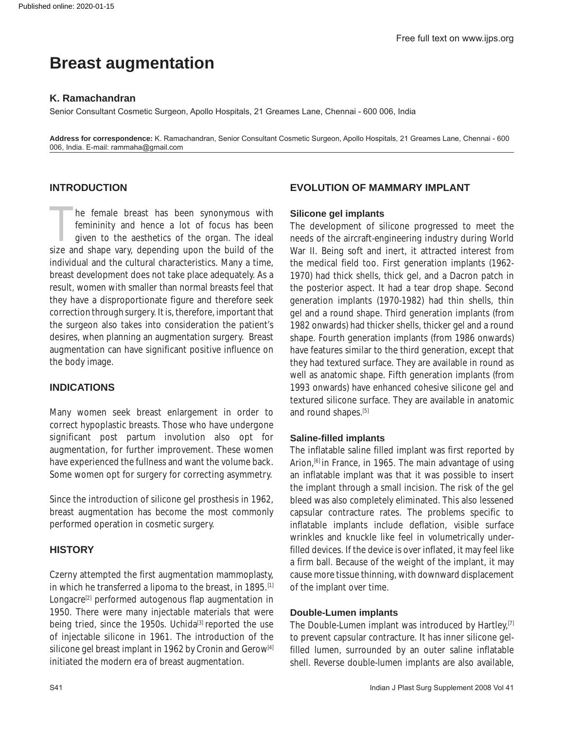# **Breast augmentation**

#### **K. Ramachandran**

Senior Consultant Cosmetic Surgeon, Apollo Hospitals, 21 Greames Lane, Chennai - 600 006, India

**Address for correspondence:** K. Ramachandran, Senior Consultant Cosmetic Surgeon, Apollo Hospitals, 21 Greames Lane, Chennai - 600 006, India. E-mail: rammaha@gmail.com

#### **INTRODUCTION**

he female breast has been synonymous with femininity and hence a lot of focus has been given to the aesthetics of the organ. The ideal size and shape vary, depending upon the build of the individual and the cultural characteristics. Many a time, breast development does not take place adequately. As a result, women with smaller than normal breasts feel that they have a disproportionate figure and therefore seek correction through surgery. It is, therefore, important that the surgeon also takes into consideration the patient's desires, when planning an augmentation surgery. Breast augmentation can have significant positive influence on the body image.

#### **INDICATIONS**

Many women seek breast enlargement in order to correct hypoplastic breasts. Those who have undergone significant post partum involution also opt for augmentation, for further improvement. These women have experienced the fullness and want the volume back. Some women opt for surgery for correcting asymmetry.

Since the introduction of silicone gel prosthesis in 1962, breast augmentation has become the most commonly performed operation in cosmetic surgery.

#### **HISTORY**

Czerny attempted the first augmentation mammoplasty, in which he transferred a lipoma to the breast, in 1895.<sup>[1]</sup> Longacre<sup>[2]</sup> performed autogenous flap augmentation in 1950. There were many injectable materials that were being tried, since the 1950s. Uchida<sup>[3]</sup> reported the use of injectable silicone in 1961. The introduction of the silicone gel breast implant in 1962 by Cronin and Gerow<sup>[4]</sup> initiated the modern era of breast augmentation.

## **EVOLUTION OF MAMMARY IMPLANT**

#### **Silicone gel implants**

The development of silicone progressed to meet the needs of the aircraft-engineering industry during World War II. Being soft and inert, it attracted interest from the medical field too. First generation implants (1962- 1970) had thick shells, thick gel, and a Dacron patch in the posterior aspect. It had a tear drop shape. Second generation implants (1970-1982) had thin shells, thin gel and a round shape. Third generation implants (from 1982 onwards) had thicker shells, thicker gel and a round shape. Fourth generation implants (from 1986 onwards) have features similar to the third generation, except that they had textured surface. They are available in round as well as anatomic shape. Fifth generation implants (from 1993 onwards) have enhanced cohesive silicone gel and textured silicone surface. They are available in anatomic and round shapes.<sup>[5]</sup>

#### **Saline-fi lled implants**

The inflatable saline filled implant was first reported by Arion,<sup>[6]</sup> in France, in 1965. The main advantage of using an inflatable implant was that it was possible to insert the implant through a small incision. The risk of the gel bleed was also completely eliminated. This also lessened capsular contracture rates. The problems specific to inflatable implants include deflation, visible surface wrinkles and knuckle like feel in volumetrically underfilled devices. If the device is over inflated, it may feel like a firm ball. Because of the weight of the implant, it may cause more tissue thinning, with downward displacement of the implant over time.

#### **Double-Lumen implants**

The Double-Lumen implant was introduced by Hartley,[7] to prevent capsular contracture. It has inner silicone gelfilled lumen, surrounded by an outer saline inflatable shell. Reverse double-lumen implants are also available,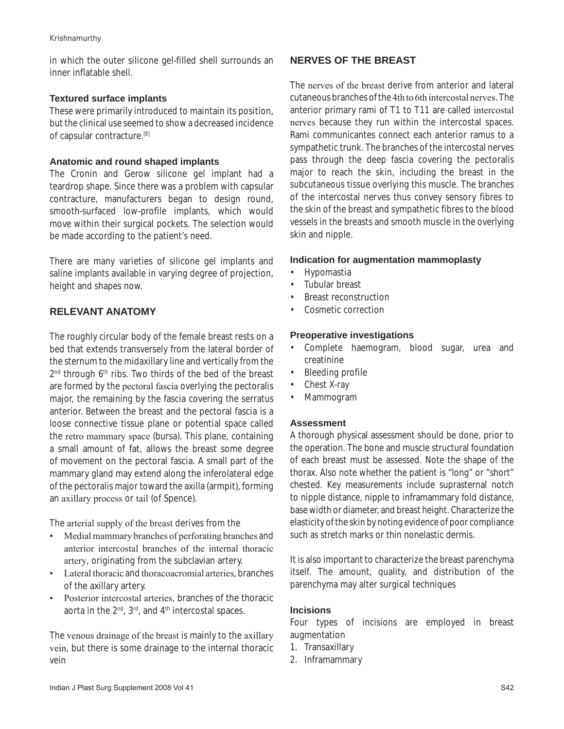in which the outer silicone gel-filled shell surrounds an inner inflatable shell.

## **Textured surface implants**

These were primarily introduced to maintain its position, but the clinical use seemed to show a decreased incidence of capsular contracture.[8]

## **Anatomic and round shaped implants**

The Cronin and Gerow silicone gel implant had a teardrop shape. Since there was a problem with capsular contracture, manufacturers began to design round, smooth-surfaced low-profile implants, which would move within their surgical pockets. The selection would be made according to the patient's need.

There are many varieties of silicone gel implants and saline implants available in varying degree of projection, height and shapes now.

# **RELEVANT ANATOMY**

The roughly circular body of the female breast rests on a bed that extends transversely from the lateral border of the sternum to the midaxillary line and vertically from the 2<sup>nd</sup> through 6<sup>th</sup> ribs. Two thirds of the bed of the breast are formed by the pectoral fascia overlying the pectoralis major, the remaining by the fascia covering the serratus anterior. Between the breast and the pectoral fascia is a loose connective tissue plane or potential space called the retro mammary space (bursa). This plane, containing a small amount of fat, allows the breast some degree of movement on the pectoral fascia. A small part of the mammary gland may extend along the inferolateral edge of the pectoralis major toward the axilla (armpit), forming an axillary process or tail (of Spence).

The arterial supply of the breast derives from the

- Medial mammary branches of perforating branches and anterior intercostal branches of the internal thoracic artery, originating from the subclavian artery.
- Lateral thoracic and thoracoacromial arteries, branches of the axillary artery.
- Posterior intercostal arteries, branches of the thoracic aorta in the 2nd, 3rd, and 4th intercostal spaces.

The venous drainage of the breast is mainly to the axillary vein, but there is some drainage to the internal thoracic vein

# **NERVES OF THE BREAST**

The nerves of the breast derive from anterior and lateral cutaneous branches of the 4th to 6th intercostal nerves. The anterior primary rami of T1 to T11 are called intercostal nerves because they run within the intercostal spaces. Rami communicantes connect each anterior ramus to a sympathetic trunk. The branches of the intercostal nerves pass through the deep fascia covering the pectoralis major to reach the skin, including the breast in the subcutaneous tissue overlying this muscle. The branches of the intercostal nerves thus convey sensory fibres to the skin of the breast and sympathetic fibres to the blood vessels in the breasts and smooth muscle in the overlying skin and nipple.

#### **Indication for augmentation mammoplasty**

- Hypomastia
- Tubular breast
- Breast reconstruction
- Cosmetic correction

#### **Preoperative investigations**

- Complete haemogram, blood sugar, urea and creatinine
- Bleeding profile
- Chest X-ray
- Mammogram

#### **Assessment**

A thorough physical assessment should be done, prior to the operation. The bone and muscle structural foundation of each breast must be assessed. Note the shape of the thorax. Also note whether the patient is "long" or "short" chested. Key measurements include suprasternal notch to nipple distance, nipple to inframammary fold distance, base width or diameter, and breast height. Characterize the elasticity of the skin by noting evidence of poor compliance such as stretch marks or thin nonelastic dermis.

It is also important to characterize the breast parenchyma itself. The amount, quality, and distribution of the parenchyma may alter surgical techniques

#### **Incisions**

Four types of incisions are employed in breast augmentation

- 1. Transaxillary
- 2. Inframammary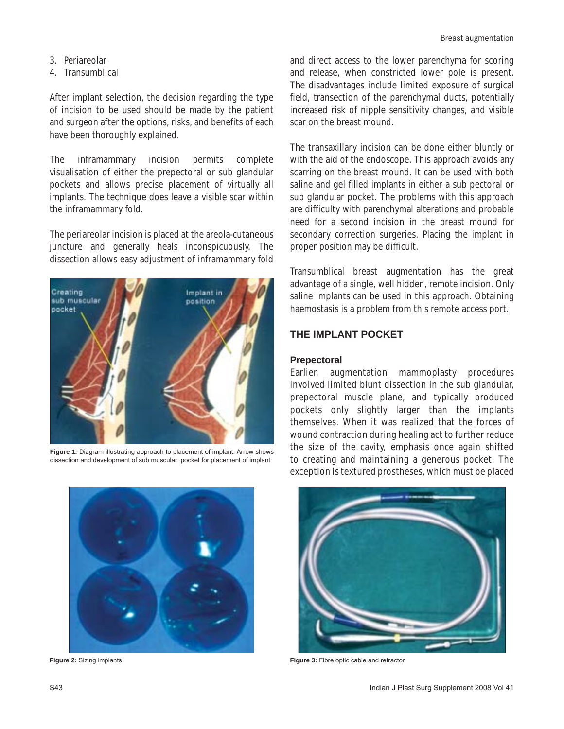- 3. Periareolar
- 4. Transumblical

After implant selection, the decision regarding the type of incision to be used should be made by the patient and surgeon after the options, risks, and benefits of each have been thoroughly explained.

The inframammary incision permits complete visualisation of either the prepectoral or sub glandular pockets and allows precise placement of virtually all implants. The technique does leave a visible scar within the inframammary fold.

The periareolar incision is placed at the areola-cutaneous juncture and generally heals inconspicuously. The dissection allows easy adjustment of inframammary fold



**Figure 1:** Diagram illustrating approach to placement of implant. Arrow shows dissection and development of sub muscular pocket for placement of implant



and direct access to the lower parenchyma for scoring and release, when constricted lower pole is present. The disadvantages include limited exposure of surgical field, transection of the parenchymal ducts, potentially increased risk of nipple sensitivity changes, and visible scar on the breast mound.

The transaxillary incision can be done either bluntly or with the aid of the endoscope. This approach avoids any scarring on the breast mound. It can be used with both saline and gel filled implants in either a sub pectoral or sub glandular pocket. The problems with this approach are difficulty with parenchymal alterations and probable need for a second incision in the breast mound for secondary correction surgeries. Placing the implant in proper position may be difficult.

Transumblical breast augmentation has the great advantage of a single, well hidden, remote incision. Only saline implants can be used in this approach. Obtaining haemostasis is a problem from this remote access port.

# **THE IMPLANT POCKET**

#### **Prepectoral**

Earlier, augmentation mammoplasty procedures involved limited blunt dissection in the sub glandular, prepectoral muscle plane, and typically produced pockets only slightly larger than the implants themselves. When it was realized that the forces of wound contraction during healing act to further reduce the size of the cavity, emphasis once again shifted to creating and maintaining a generous pocket. The exception is textured prostheses, which must be placed



**Figure 2:** Sizing implants **Figure 3:** Fibre optic cable and retractor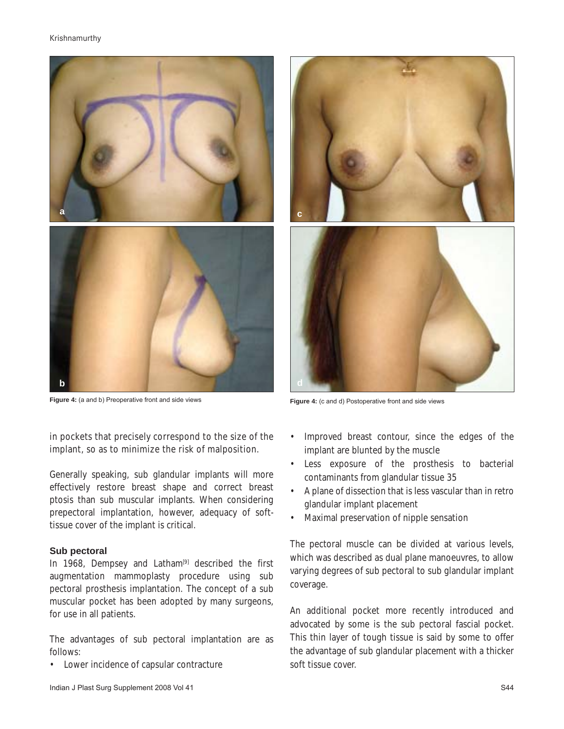

**Figure 4:** (a and b) Preoperative front and side views (a and b) Postoperative front and side views (a and b) Postoperative front and side views

in pockets that precisely correspond to the size of the implant, so as to minimize the risk of malposition.

Generally speaking, sub glandular implants will more effectively restore breast shape and correct breast ptosis than sub muscular implants. When considering prepectoral implantation, however, adequacy of softtissue cover of the implant is critical.

#### **Sub pectoral**

In 1968, Dempsey and Latham $[9]$  described the first augmentation mammoplasty procedure using sub pectoral prosthesis implantation. The concept of a sub muscular pocket has been adopted by many surgeons, for use in all patients.

The advantages of sub pectoral implantation are as follows:

• Lower incidence of capsular contracture



- Improved breast contour, since the edges of the implant are blunted by the muscle
- Less exposure of the prosthesis to bacterial contaminants from glandular tissue 35
- A plane of dissection that is less vascular than in retro glandular implant placement
- Maximal preservation of nipple sensation

The pectoral muscle can be divided at various levels, which was described as dual plane manoeuvres, to allow varying degrees of sub pectoral to sub glandular implant coverage.

An additional pocket more recently introduced and advocated by some is the sub pectoral fascial pocket. This thin layer of tough tissue is said by some to offer the advantage of sub glandular placement with a thicker soft tissue cover.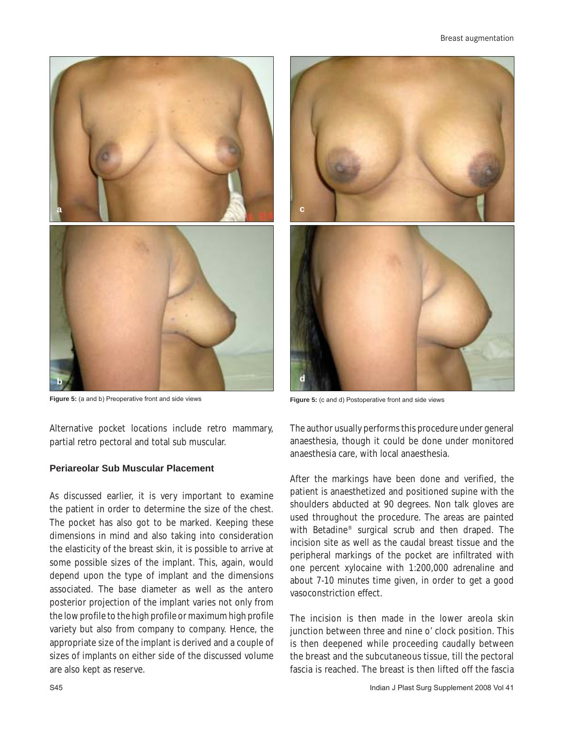

**Figure 5:** (a and b) Preoperative front and side views

Alternative pocket locations include retro mammary, partial retro pectoral and total sub muscular.

#### **Periareolar Sub Muscular Placement**

As discussed earlier, it is very important to examine the patient in order to determine the size of the chest. The pocket has also got to be marked. Keeping these dimensions in mind and also taking into consideration the elasticity of the breast skin, it is possible to arrive at some possible sizes of the implant. This, again, would depend upon the type of implant and the dimensions associated. The base diameter as well as the antero posterior projection of the implant varies not only from the low profile to the high profile or maximum high profile variety but also from company to company. Hence, the appropriate size of the implant is derived and a couple of sizes of implants on either side of the discussed volume are also kept as reserve.



**Figure 5:** (c and d) Postoperative front and side views

The author usually performs this procedure under general anaesthesia, though it could be done under monitored anaesthesia care, with local anaesthesia.

After the markings have been done and verified, the patient is anaesthetized and positioned supine with the shoulders abducted at 90 degrees. Non talk gloves are used throughout the procedure. The areas are painted with Betadine® surgical scrub and then draped. The incision site as well as the caudal breast tissue and the peripheral markings of the pocket are infiltrated with one percent xylocaine with 1:200,000 adrenaline and about 7-10 minutes time given, in order to get a good vasoconstriction effect.

The incision is then made in the lower areola skin junction between three and nine o' clock position. This is then deepened while proceeding caudally between the breast and the subcutaneous tissue, till the pectoral fascia is reached. The breast is then lifted off the fascia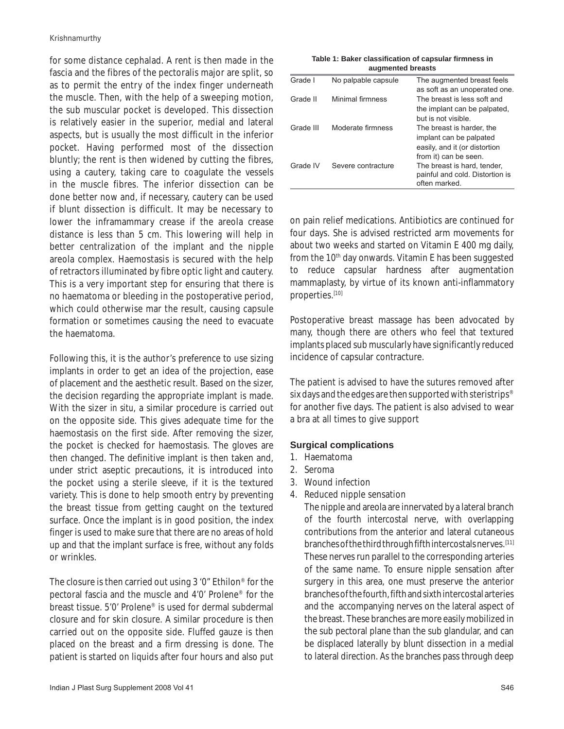for some distance cephalad. A rent is then made in the fascia and the fibres of the pectoralis major are split, so as to permit the entry of the index finger underneath the muscle. Then, with the help of a sweeping motion, the sub muscular pocket is developed. This dissection is relatively easier in the superior, medial and lateral aspects, but is usually the most difficult in the inferior pocket. Having performed most of the dissection bluntly; the rent is then widened by cutting the fibres, using a cautery, taking care to coagulate the vessels in the muscle fibres. The inferior dissection can be done better now and, if necessary, cautery can be used if blunt dissection is difficult. It may be necessary to lower the inframammary crease if the areola crease distance is less than 5 cm. This lowering will help in better centralization of the implant and the nipple areola complex. Haemostasis is secured with the help of retractors illuminated by fibre optic light and cautery. This is a very important step for ensuring that there is no haematoma or bleeding in the postoperative period, which could otherwise mar the result, causing capsule formation or sometimes causing the need to evacuate the haematoma.

Following this, it is the author's preference to use sizing implants in order to get an idea of the projection, ease of placement and the aesthetic result. Based on the sizer, the decision regarding the appropriate implant is made. With the sizer *in situ*, a similar procedure is carried out on the opposite side. This gives adequate time for the haemostasis on the first side. After removing the sizer, the pocket is checked for haemostasis. The gloves are then changed. The definitive implant is then taken and, under strict aseptic precautions, it is introduced into the pocket using a sterile sleeve, if it is the textured variety. This is done to help smooth entry by preventing the breast tissue from getting caught on the textured surface. Once the implant is in good position, the index finger is used to make sure that there are no areas of hold up and that the implant surface is free, without any folds or wrinkles.

The closure is then carried out using 3 '0" Ethilon® for the pectoral fascia and the muscle and 4'0' Prolene® for the breast tissue. 5'0' Prolene® is used for dermal subdermal closure and for skin closure. A similar procedure is then carried out on the opposite side. Fluffed gauze is then placed on the breast and a firm dressing is done. The patient is started on liquids after four hours and also put

| Table 1: Baker classification of capsular firmness in |  |  |
|-------------------------------------------------------|--|--|
| augmented breasts                                     |  |  |

| Grade I   | No palpable capsule | The augmented breast feels<br>as soft as an unoperated one.                                                                               |
|-----------|---------------------|-------------------------------------------------------------------------------------------------------------------------------------------|
| Grade II  | Minimal firmness    | The breast is less soft and<br>the implant can be palpated.                                                                               |
| Grade III | Moderate firmness   | but is not visible<br>The breast is harder, the<br>implant can be palpated                                                                |
| Grade IV  | Severe contracture  | easily, and it (or distortion<br>from it) can be seen.<br>The breast is hard, tender,<br>painful and cold. Distortion is<br>often marked. |

on pain relief medications. Antibiotics are continued for four days. She is advised restricted arm movements for about two weeks and started on Vitamin E 400 mg daily, from the 10<sup>th</sup> day onwards. Vitamin E has been suggested to reduce capsular hardness after augmentation mammaplasty, by virtue of its known anti-inflammatory properties.[10]

Postoperative breast massage has been advocated by many, though there are others who feel that textured implants placed sub muscularly have significantly reduced incidence of capsular contracture.

The patient is advised to have the sutures removed after six days and the edges are then supported with steristrips<sup>®</sup> for another five days. The patient is also advised to wear a bra at all times to give support

#### **Surgical complications**

- 1. Haematoma
- 2. Seroma
- 3. Wound infection
- 4. Reduced nipple sensation

 The nipple and areola are innervated by a lateral branch of the fourth intercostal nerve, with overlapping contributions from the anterior and lateral cutaneous branches of the third through fifth intercostals nerves.<sup>[11]</sup> These nerves run parallel to the corresponding arteries of the same name. To ensure nipple sensation after surgery in this area, one must preserve the anterior branches of the fourth, fifth and sixth intercostal arteries and the accompanying nerves on the lateral aspect of the breast. These branches are more easily mobilized in the sub pectoral plane than the sub glandular, and can be displaced laterally by blunt dissection in a medial to lateral direction. As the branches pass through deep